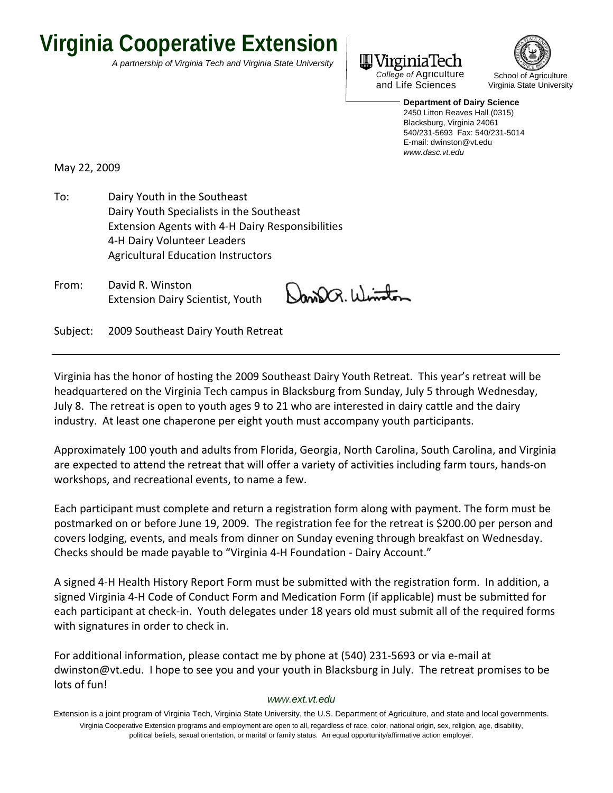# **Virginia Cooperative Extension**

*A partnership of Virginia Tech and Virginia State University* 



*College of* Agriculture and Life Sciences



**Department of Dairy Science**  2450 Litton Reaves Hall (0315) Blacksburg, Virginia 24061 540/231-5693 Fax: 540/231-5014 E-mail: dwinston@vt.edu *www.dasc.vt.edu*

May 22, 2009

To: Dairy Youth in the Southeast Dairy Youth Specialists in the Southeast Extension Agents with 4‐H Dairy Responsibilities 4‐H Dairy Volunteer Leaders Agricultural Education Instructors

From: David R. Winston Extension Dairy Scientist, Youth

NanDa. Winton

Subject: 2009 Southeast Dairy Youth Retreat

Virginia has the honor of hosting the 2009 Southeast Dairy Youth Retreat. This year's retreat will be headquartered on the Virginia Tech campus in Blacksburg from Sunday, July 5 through Wednesday, July 8. The retreat is open to youth ages 9 to 21 who are interested in dairy cattle and the dairy industry. At least one chaperone per eight youth must accompany youth participants.

Approximately 100 youth and adults from Florida, Georgia, North Carolina, South Carolina, and Virginia are expected to attend the retreat that will offer a variety of activities including farm tours, hands‐on workshops, and recreational events, to name a few.

Each participant must complete and return a registration form along with payment. The form must be postmarked on or before June 19, 2009. The registration fee for the retreat is \$200.00 per person and covers lodging, events, and meals from dinner on Sunday evening through breakfast on Wednesday. Checks should be made payable to "Virginia 4‐H Foundation ‐ Dairy Account."

A signed 4‐H Health History Report Form must be submitted with the registration form. In addition, a signed Virginia 4‐H Code of Conduct Form and Medication Form (if applicable) must be submitted for each participant at check‐in. Youth delegates under 18 years old must submit all of the required forms with signatures in order to check in.

For additional information, please contact me by phone at (540) 231‐5693 or via e‐mail at dwinston@vt.edu. I hope to see you and your youth in Blacksburg in July. The retreat promises to be lots of fun!

## *www.ext.vt.edu*

Extension is a joint program of Virginia Tech, Virginia State University, the U.S. Department of Agriculture, and state and local governments. Virginia Cooperative Extension programs and employment are open to all, regardless of race, color, national origin, sex, religion, age, disability, political beliefs, sexual orientation, or marital or family status. An equal opportunity/affirmative action employer.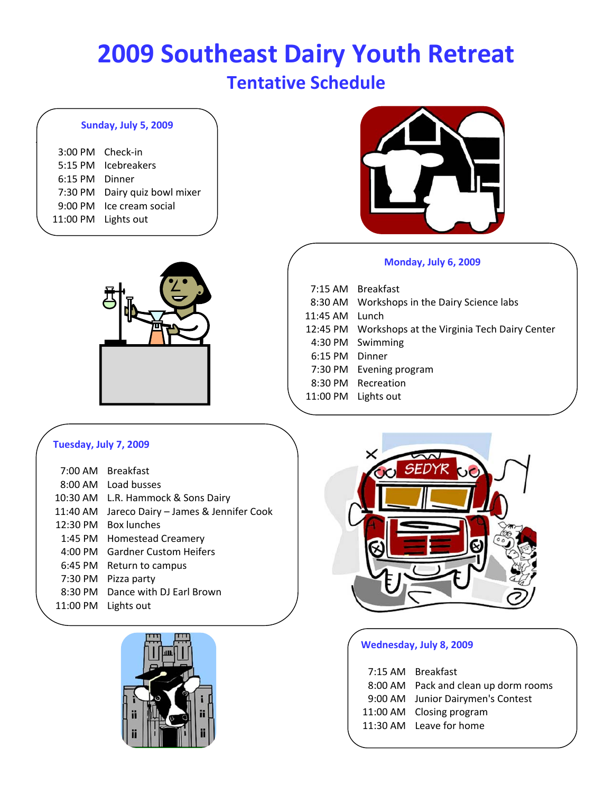# **2009 Southeast Dairy Youth Retreat Tentative Schedule**

## **Sunday, July 5, 2009**

 $\vert$ 

| 3:00 PM Check-in<br>6:15 PM Dinner | 5:15 PM Icebreakers<br>7:30 PM Dairy quiz bowl mixer |
|------------------------------------|------------------------------------------------------|
|                                    | 9:00 PM Ice cream social<br>11:00 PM Lights out      |
|                                    |                                                      |





## **Monday, July 6, 2009**

|            | 7:15 AM Breakfast                                    |
|------------|------------------------------------------------------|
|            | 8:30 AM Workshops in the Dairy Science labs          |
| $11:45$ AM | Lunch                                                |
|            | 12:45 PM Workshops at the Virginia Tech Dairy Center |
|            | 4:30 PM Swimming                                     |
| $6:15$ PM  | Dinner                                               |
| 7:30 PM    | Evening program                                      |
|            | 8:30 PM Recreation                                   |
|            | 11:00 PM Lights out                                  |
|            |                                                      |

## **Tuesday, July 7, 2009**

|                    | 7:00 AM Breakfast                    |
|--------------------|--------------------------------------|
| 8:00 AM            | Load busses                          |
| $10:30$ AM         | L.R. Hammock & Sons Dairy            |
| $11:40$ AM         | Jareco Dairy - James & Jennifer Cook |
| $12:30 \text{ PM}$ | <b>Box lunches</b>                   |
| $1:45$ PM          | <b>Homestead Creamery</b>            |
| $4:00 \text{ PM}$  | <b>Gardner Custom Heifers</b>        |
| $6:45$ PM          | Return to campus                     |
| 7:30 PM            | Pizza party                          |
| $8:30$ PM          | Dance with DJ Earl Brown             |
| 11:00 PM           | Lights out                           |





## **Wednesday, July 8, 2009**

| 7:15 AM Breakfast                    |
|--------------------------------------|
| 8:00 AM Pack and clean up dorm rooms |
| 9:00 AM Junior Dairymen's Contest    |
| 11:00 AM Closing program             |
| 11:30 AM Leave for home              |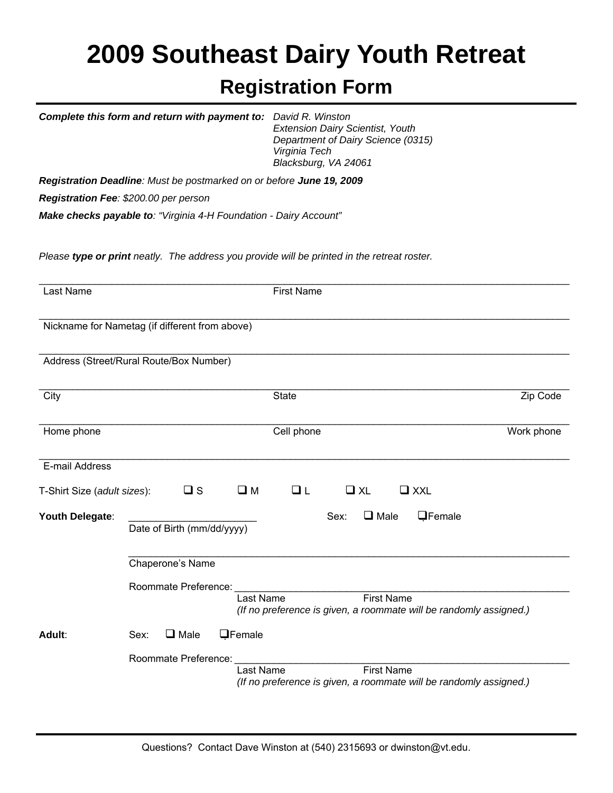# **2009 Southeast Dairy Youth Retreat Registration Form**

 *Extension Dairy Scientist, Youth* 

*Complete this form and return with payment to: David R. Winston* 

|                                                |                        |                            | Department of Dairy Science (0315)<br>Virginia Tech<br>Blacksburg, VA 24061                          |                |
|------------------------------------------------|------------------------|----------------------------|------------------------------------------------------------------------------------------------------|----------------|
|                                                |                        |                            | Registration Deadline: Must be postmarked on or before June 19, 2009                                 |                |
| Registration Fee: \$200.00 per person          |                        |                            |                                                                                                      |                |
|                                                |                        |                            | Make checks payable to: "Virginia 4-H Foundation - Dairy Account"                                    |                |
|                                                |                        |                            | Please type or print neatly. The address you provide will be printed in the retreat roster.          |                |
| Last Name                                      |                        |                            | <b>First Name</b>                                                                                    |                |
| Nickname for Nametag (if different from above) |                        |                            |                                                                                                      |                |
| Address (Street/Rural Route/Box Number)        |                        |                            |                                                                                                      |                |
| City                                           |                        |                            | <b>State</b>                                                                                         | Zip Code       |
| Home phone                                     |                        |                            | Cell phone                                                                                           | Work phone     |
| E-mail Address                                 |                        |                            |                                                                                                      |                |
| T-Shirt Size (adult sizes):                    |                        | $\square$ s                | $\square$ M<br>$\Box$ L<br>QXL<br>$\Box$ XXL                                                         |                |
| Youth Delegate:                                |                        | Date of Birth (mm/dd/yyyy) | $\Box$ Male<br>Sex:                                                                                  | <b>QFemale</b> |
|                                                | Chaperone's Name       |                            |                                                                                                      |                |
|                                                | Roommate Preference:   |                            |                                                                                                      |                |
|                                                |                        |                            | Last Name<br><b>First Name</b><br>(If no preference is given, a roommate will be randomly assigned.) |                |
| Adult:                                         | $\square$ Male<br>Sex: | <b>QFemale</b>             |                                                                                                      |                |
|                                                | Roommate Preference:   |                            | <b>First Name</b><br>Last Name<br>(If no preference is given, a roommate will be randomly assigned.) |                |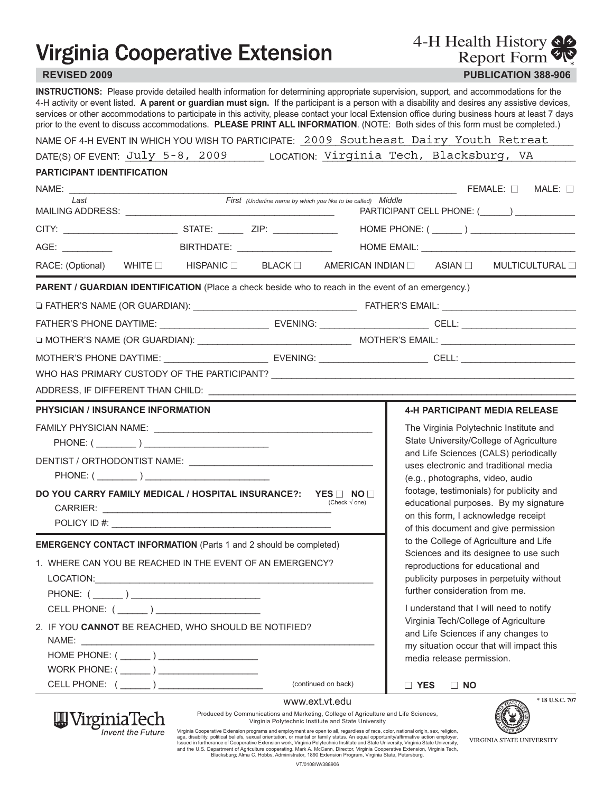# **Virginia Cooperative Extension**

**REVISED 2009 PUBLICATION 388-906** Report Form

4-H Health History

**INSTRUCTIONS:** Please provide detailed health information for determining appropriate supervision, support, and accommodations for the 4-H activity or event listed. **A parent or guardian must sign.** If the participant is a person with a disability and desires any assistive devices, services or other accommodations to participate in this activity, please contact your local Extension office during business hours at least 7 days prior to the event to discuss accommodations. **PLEASE PRINT ALL INFORMATION**. (NOTE: Both sides of this form must be completed.)

| NAME OF 4-H EVENT IN WHICH YOU WISH TO PARTICIPATE: 2009 Southeast Dairy Youth Retreat |  |  |  |
|----------------------------------------------------------------------------------------|--|--|--|
|                                                                                        |  |  |  |

DATE(S)OF EVENT: July 5-8, 2009 LOCATION: Virginia Tech, Blacksburg, VA July 5-8, 2009 Virginia <u>Technicus Tech, Blacksburg, Ve</u><br>Florida

## **PARTICIPANT IDENTIFICATION**

W Virginia lech

**Invent the Future** 

| NAME: _                                                                                                        |                                 |                                                              |                                                |                                                                                | FEMALE:    | $MALE: \Box$    |
|----------------------------------------------------------------------------------------------------------------|---------------------------------|--------------------------------------------------------------|------------------------------------------------|--------------------------------------------------------------------------------|------------|-----------------|
| Last                                                                                                           |                                 | First (Underline name by which you like to be called) Middle | PARTICIPANT CELL PHONE: (______) _____________ |                                                                                |            |                 |
|                                                                                                                |                                 |                                                              |                                                |                                                                                |            |                 |
| AGE: __________                                                                                                | BIRTHDATE: ____________________ |                                                              |                                                |                                                                                |            |                 |
| RACE: (Optional) WHITE HISPANIC BLACK BLACK AMERICAN INDIAN ASIAN MULTICULTURAL                                |                                 |                                                              |                                                |                                                                                |            |                 |
| PARENT / GUARDIAN IDENTIFICATION (Place a check beside who to reach in the event of an emergency.)             |                                 |                                                              |                                                |                                                                                |            |                 |
|                                                                                                                |                                 |                                                              |                                                |                                                                                |            |                 |
|                                                                                                                |                                 |                                                              |                                                |                                                                                |            |                 |
|                                                                                                                |                                 |                                                              |                                                |                                                                                |            |                 |
| MOTHER'S PHONE DAYTIME: __________________________ EVENING: _____________________ CELL: ______________________ |                                 |                                                              |                                                |                                                                                |            |                 |
|                                                                                                                |                                 |                                                              |                                                |                                                                                |            |                 |
|                                                                                                                |                                 |                                                              |                                                |                                                                                |            |                 |
| <b>PHYSICIAN / INSURANCE INFORMATION</b>                                                                       |                                 |                                                              |                                                | <b>4-H PARTICIPANT MEDIA RELEASE</b>                                           |            |                 |
|                                                                                                                |                                 |                                                              |                                                | The Virginia Polytechnic Institute and                                         |            |                 |
|                                                                                                                |                                 |                                                              |                                                | State University/College of Agriculture                                        |            |                 |
|                                                                                                                |                                 |                                                              |                                                | and Life Sciences (CALS) periodically<br>uses electronic and traditional media |            |                 |
|                                                                                                                |                                 |                                                              |                                                | (e.g., photographs, video, audio                                               |            |                 |
| DO YOU CARRY FAMILY MEDICAL / HOSPITAL INSURANCE?:  YES □ NO □                                                 |                                 | (Check $\sqrt{$ one)                                         |                                                | footage, testimonials) for publicity and                                       |            |                 |
|                                                                                                                |                                 |                                                              |                                                | educational purposes. By my signature<br>on this form, I acknowledge receipt   |            |                 |
|                                                                                                                |                                 |                                                              |                                                | of this document and give permission                                           |            |                 |
| <b>EMERGENCY CONTACT INFORMATION</b> (Parts 1 and 2 should be completed)                                       |                                 |                                                              |                                                | to the College of Agriculture and Life                                         |            |                 |
| 1. WHERE CAN YOU BE REACHED IN THE EVENT OF AN EMERGENCY?                                                      |                                 |                                                              |                                                | Sciences and its designee to use such<br>reproductions for educational and     |            |                 |
|                                                                                                                |                                 |                                                              |                                                | publicity purposes in perpetuity without                                       |            |                 |
|                                                                                                                |                                 |                                                              |                                                | further consideration from me.                                                 |            |                 |
| CELL PHONE: ( ______ ) ____________________                                                                    |                                 |                                                              |                                                | I understand that I will need to notify                                        |            |                 |
| 2. IF YOU CANNOT BE REACHED, WHO SHOULD BE NOTIFIED?                                                           |                                 |                                                              |                                                | Virginia Tech/College of Agriculture<br>and Life Sciences if any changes to    |            |                 |
|                                                                                                                |                                 |                                                              |                                                | my situation occur that will impact this                                       |            |                 |
| HOME PHONE: ( )                                                                                                |                                 |                                                              |                                                | media release permission.                                                      |            |                 |
| WORK PHONE: ( ______ ) ____________________                                                                    |                                 |                                                              |                                                |                                                                                |            |                 |
| CELL PHONE: ( ______ ) ______________________                                                                  |                                 | (continued on back)                                          | □ YES                                          | $\Box$ NO                                                                      |            |                 |
|                                                                                                                |                                 | www.ext.vt.edu                                               |                                                |                                                                                | <b>AND</b> | * 18 U.S.C. 707 |



Produced by Communications and Marketing, College of Agriculture and Life Sciences, Virginia Polytechnic Institute and State University

Virginia Cooperative Extension programs and employment are open to all, regardless of race, color, national origin, sex, religion,<br>age, disability, political beliefs, sexual orientation, or marital or family status. An equ Blacksburg; Alma C. Hobbs, Administrator, 1890 Extension Program, Virginia State, Petersburg.

VT/0108/W/388906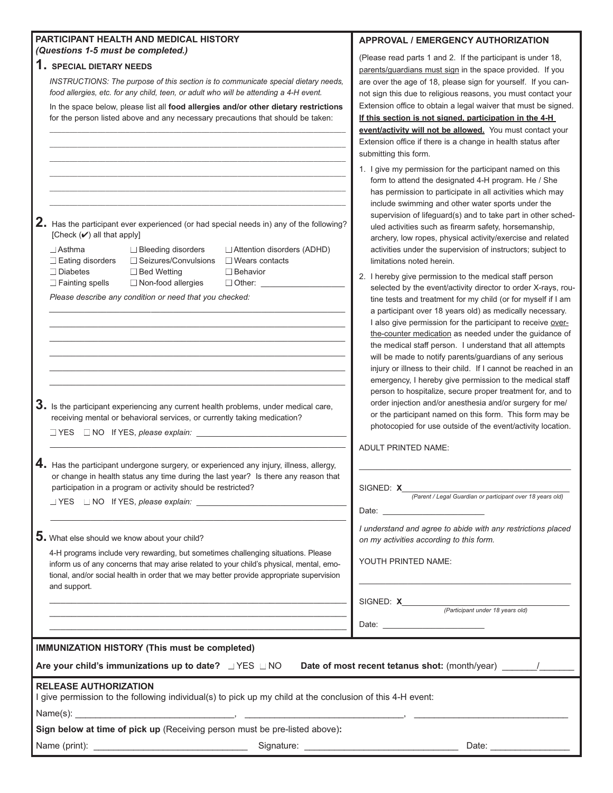| PARTICIPANT HEALTH AND MEDICAL HISTORY                                                                                                                            | APPROVAL / EMERGENCY AUTHORIZATION                                                                                 |
|-------------------------------------------------------------------------------------------------------------------------------------------------------------------|--------------------------------------------------------------------------------------------------------------------|
| (Questions 1-5 must be completed.)                                                                                                                                | (Please read parts 1 and 2. If the participant is under 18,                                                        |
| 1. SPECIAL DIETARY NEEDS                                                                                                                                          | parents/guardians must sign in the space provided. If you                                                          |
| INSTRUCTIONS: The purpose of this section is to communicate special dietary needs,                                                                                | are over the age of 18, please sign for yourself. If you can-                                                      |
| food allergies, etc. for any child, teen, or adult who will be attending a 4-H event.                                                                             | not sign this due to religious reasons, you must contact your                                                      |
| In the space below, please list all food allergies and/or other dietary restrictions                                                                              | Extension office to obtain a legal waiver that must be signed.                                                     |
| for the person listed above and any necessary precautions that should be taken:                                                                                   | If this section is not signed, participation in the 4-H                                                            |
|                                                                                                                                                                   | event/activity will not be allowed. You must contact your                                                          |
|                                                                                                                                                                   | Extension office if there is a change in health status after                                                       |
|                                                                                                                                                                   | submitting this form.                                                                                              |
|                                                                                                                                                                   |                                                                                                                    |
|                                                                                                                                                                   | 1. I give my permission for the participant named on this                                                          |
|                                                                                                                                                                   | form to attend the designated 4-H program. He / She                                                                |
|                                                                                                                                                                   | has permission to participate in all activities which may                                                          |
|                                                                                                                                                                   | include swimming and other water sports under the<br>supervision of lifeguard(s) and to take part in other sched-  |
| 2. Has the participant ever experienced (or had special needs in) any of the following?                                                                           | uled activities such as firearm safety, horsemanship,                                                              |
| [Check $(V)$ all that apply]                                                                                                                                      | archery, low ropes, physical activity/exercise and related                                                         |
| $\Box$ Asthma<br>□ Bleeding disorders<br>Attention disorders (ADHD)                                                                                               | activities under the supervision of instructors; subject to                                                        |
| □ Seizures/Convulsions<br>$\Box$ Eating disorders<br>$\Box$ Wears contacts                                                                                        | limitations noted herein.                                                                                          |
| $\Box$ Diabetes<br>□ Bed Wetting<br>$\Box$ Behavior                                                                                                               |                                                                                                                    |
| $\Box$ Fainting spells<br>Non-food allergies<br>□ Other: ______                                                                                                   | 2. I hereby give permission to the medical staff person                                                            |
| Please describe any condition or need that you checked:                                                                                                           | selected by the event/activity director to order X-rays, rou-                                                      |
|                                                                                                                                                                   | tine tests and treatment for my child (or for myself if I am                                                       |
|                                                                                                                                                                   | a participant over 18 years old) as medically necessary.                                                           |
|                                                                                                                                                                   | I also give permission for the participant to receive over-                                                        |
|                                                                                                                                                                   | the-counter medication as needed under the guidance of<br>the medical staff person. I understand that all attempts |
|                                                                                                                                                                   | will be made to notify parents/guardians of any serious                                                            |
|                                                                                                                                                                   | injury or illness to their child. If I cannot be reached in an                                                     |
|                                                                                                                                                                   | emergency, I hereby give permission to the medical staff                                                           |
|                                                                                                                                                                   | person to hospitalize, secure proper treatment for, and to                                                         |
|                                                                                                                                                                   | order injection and/or anesthesia and/or surgery for me/                                                           |
| $3.$ Is the participant experiencing any current health problems, under medical care,<br>receiving mental or behavioral services, or currently taking medication? | or the participant named on this form. This form may be                                                            |
|                                                                                                                                                                   | photocopied for use outside of the event/activity location.                                                        |
| □ YES □ NO If YES, please explain: <u>_____________________</u>                                                                                                   |                                                                                                                    |
|                                                                                                                                                                   | ADULT PRINTED NAME:                                                                                                |
| 4. Has the participant undergone surgery, or experienced any injury, illness, allergy,                                                                            |                                                                                                                    |
| or change in health status any time during the last year? Is there any reason that                                                                                |                                                                                                                    |
| participation in a program or activity should be restricted?                                                                                                      | SIGNED: X                                                                                                          |
|                                                                                                                                                                   | (Parent / Legal Guardian or participant over 18 years old)                                                         |
|                                                                                                                                                                   | Date: <u>_______________________</u>                                                                               |
|                                                                                                                                                                   | I understand and agree to abide with any restrictions placed                                                       |
| $5.$ What else should we know about your child?                                                                                                                   | on my activities according to this form.                                                                           |
| 4-H programs include very rewarding, but sometimes challenging situations. Please                                                                                 |                                                                                                                    |
| inform us of any concerns that may arise related to your child's physical, mental, emo-                                                                           | YOUTH PRINTED NAME:                                                                                                |
| tional, and/or social health in order that we may better provide appropriate supervision                                                                          |                                                                                                                    |
| and support.                                                                                                                                                      |                                                                                                                    |
|                                                                                                                                                                   |                                                                                                                    |
|                                                                                                                                                                   |                                                                                                                    |
|                                                                                                                                                                   |                                                                                                                    |
|                                                                                                                                                                   |                                                                                                                    |
| <b>IMMUNIZATION HISTORY (This must be completed)</b>                                                                                                              |                                                                                                                    |
|                                                                                                                                                                   |                                                                                                                    |
| <b>RELEASE AUTHORIZATION</b>                                                                                                                                      |                                                                                                                    |
| I give permission to the following individual(s) to pick up my child at the conclusion of this 4-H event:                                                         |                                                                                                                    |
|                                                                                                                                                                   |                                                                                                                    |
| Sign below at time of pick up (Receiving person must be pre-listed above):                                                                                        |                                                                                                                    |
|                                                                                                                                                                   |                                                                                                                    |
|                                                                                                                                                                   |                                                                                                                    |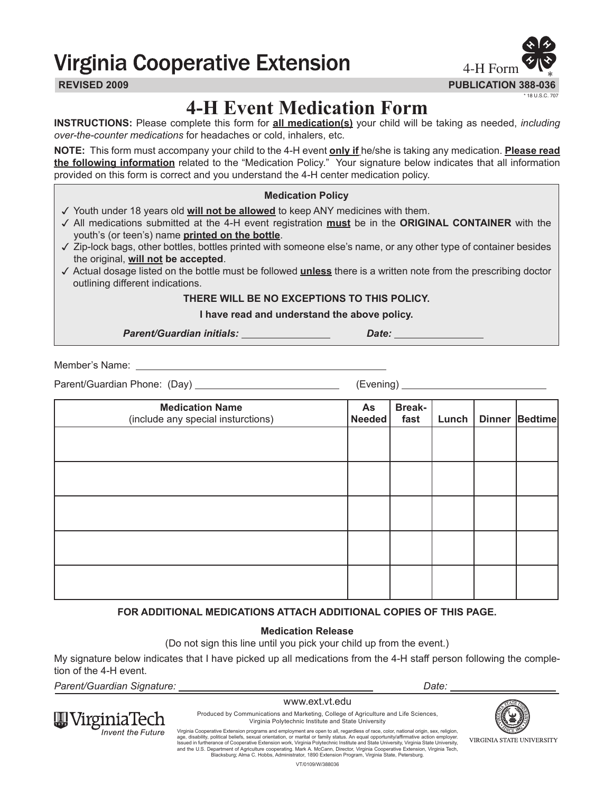# **Virginia Cooperative Extension**



## **4-H Event Medication Form**

**INSTRUCTIONS:** Please complete this form for **all medication(s)** your child will be taking as needed, *including over-the-counter medications* for headaches or cold, inhalers, etc.

**NOTE:** This form must accompany your child to the 4-H event **only if** he/she is taking any medication. **Please read the following information** related to the "Medication Policy." Your signature below indicates that all information provided on this form is correct and you understand the 4-H center medication policy.

## **Medication Policy**

- $\checkmark$  Youth under 18 years old **will not be allowed** to keep ANY medicines with them.
- 3 All medications submitted at the 4-H event registration **must** be in the **ORIGINAL CONTAINER** with the youth's (or teen's) name **printed on the bottle**.
- 3 Zip-lock bags, other bottles, bottles printed with someone else's name, or any other type of container besides the original, **will not be accepted**.
- 3 Actual dosage listed on the bottle must be followed **unless** there is a written note from the prescribing doctor outlining different indications.

**THERE WILL BE NO EXCEPTIONS TO THIS POLICY.**

**I have read and understand the above policy.**

Parent/Guardian initials: *Date: Date: Date:* 

Member's Name:

Parent/Guardian Phone: (Day) (Evening)

| <b>Medication Name</b><br>(include any special insturctions) | As<br>Needed | <b>Break-</b><br>fast | Lunch | Dinner Bedtime |
|--------------------------------------------------------------|--------------|-----------------------|-------|----------------|
|                                                              |              |                       |       |                |
|                                                              |              |                       |       |                |
|                                                              |              |                       |       |                |
|                                                              |              |                       |       |                |
|                                                              |              |                       |       |                |

## **FOR ADDITIONAL MEDICATIONS ATTACH ADDITIONAL COPIES OF THIS PAGE.**

## **Medication Release**

(Do not sign this line until you pick your child up from the event.)

My signature below indicates that I have picked up all medications from the 4-H staff person following the completion of the 4-H event.

*Parent/Guardian Signature: Date:* 

ginia lech **Invent the Future** 

## www.ext.vt.edu



Produced by Communications and Marketing, College of Agriculture and Life Sciences, Virginia Polytechnic Institute and State University

Virginia Cooperative Extension programs and employment are open to all, regardless of race, color, national origin, sex, religion,<br>age, disability, political beliefs, sexual orientation, or marital or family status. An equ Blacksburg; Alma C. Hobbs, Administrator, 1890 Extension Program, Virginia State, Petersburg.

VT/0109/W/388036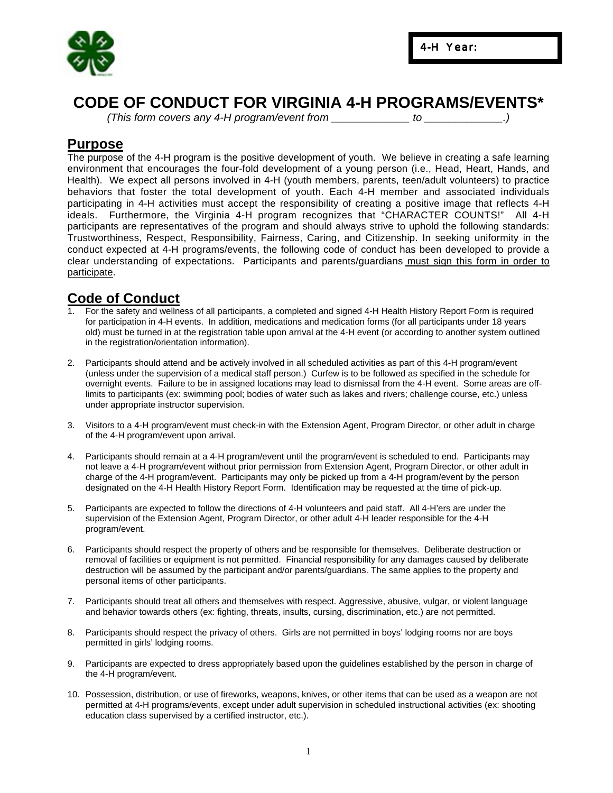

## **CODE OF CONDUCT FOR VIRGINIA 4-H PROGRAMS/EVENTS\***

*(This form covers any 4-H program/event from \_\_\_\_\_\_\_\_\_\_\_\_\_ to \_\_\_\_\_\_\_\_\_\_\_\_\_.)*

## **Purpose**

The purpose of the 4-H program is the positive development of youth. We believe in creating a safe learning environment that encourages the four-fold development of a young person (i.e., Head, Heart, Hands, and Health). We expect all persons involved in 4-H (youth members, parents, teen/adult volunteers) to practice behaviors that foster the total development of youth. Each 4-H member and associated individuals participating in 4-H activities must accept the responsibility of creating a positive image that reflects 4-H ideals. Furthermore, the Virginia 4-H program recognizes that "CHARACTER COUNTS!" All 4-H participants are representatives of the program and should always strive to uphold the following standards: Trustworthiness, Respect, Responsibility, Fairness, Caring, and Citizenship. In seeking uniformity in the conduct expected at 4-H programs/events, the following code of conduct has been developed to provide a clear understanding of expectations. Participants and parents/guardians must sign this form in order to participate.

## **Code of Conduct**

- 1. For the safety and wellness of all participants, a completed and signed 4-H Health History Report Form is required for participation in 4-H events. In addition, medications and medication forms (for all participants under 18 years old) must be turned in at the registration table upon arrival at the 4-H event (or according to another system outlined in the registration/orientation information).
- 2. Participants should attend and be actively involved in all scheduled activities as part of this 4-H program/event (unless under the supervision of a medical staff person.) Curfew is to be followed as specified in the schedule for overnight events. Failure to be in assigned locations may lead to dismissal from the 4-H event. Some areas are offlimits to participants (ex: swimming pool; bodies of water such as lakes and rivers; challenge course, etc.) unless under appropriate instructor supervision.
- 3. Visitors to a 4-H program/event must check-in with the Extension Agent, Program Director, or other adult in charge of the 4-H program/event upon arrival.
- 4. Participants should remain at a 4-H program/event until the program/event is scheduled to end. Participants may not leave a 4-H program/event without prior permission from Extension Agent, Program Director, or other adult in charge of the 4-H program/event. Participants may only be picked up from a 4-H program/event by the person designated on the 4-H Health History Report Form. Identification may be requested at the time of pick-up.
- 5. Participants are expected to follow the directions of 4-H volunteers and paid staff. All 4-H'ers are under the supervision of the Extension Agent, Program Director, or other adult 4-H leader responsible for the 4-H program/event.
- 6. Participants should respect the property of others and be responsible for themselves. Deliberate destruction or removal of facilities or equipment is not permitted. Financial responsibility for any damages caused by deliberate destruction will be assumed by the participant and/or parents/guardians. The same applies to the property and personal items of other participants.
- 7. Participants should treat all others and themselves with respect. Aggressive, abusive, vulgar, or violent language and behavior towards others (ex: fighting, threats, insults, cursing, discrimination, etc.) are not permitted.
- 8. Participants should respect the privacy of others. Girls are not permitted in boys' lodging rooms nor are boys permitted in girls' lodging rooms.
- 9. Participants are expected to dress appropriately based upon the guidelines established by the person in charge of the 4-H program/event.
- 10. Possession, distribution, or use of fireworks, weapons, knives, or other items that can be used as a weapon are not permitted at 4-H programs/events, except under adult supervision in scheduled instructional activities (ex: shooting education class supervised by a certified instructor, etc.).